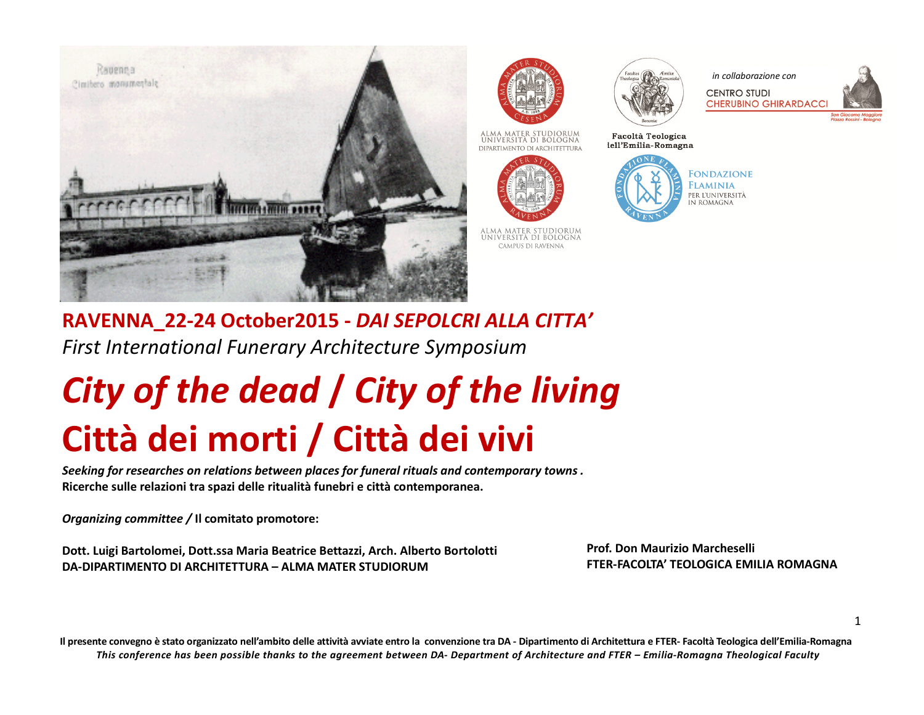





Facoltà Teologica

lell'Emilia-Romagna

*in collaborazione con* 

**CENTRO STUDI CHERUBINO GHIRARDACC** 



UNIVERSITÀ DI BOLOGNA DIPARTIMENTO DI ARCHITETTURA



ALMA MATER STUDIORUM<br>Università di Bologna CAMPUS DI RAVENNA

**FONDAZIONE FLAMINIA** PER L'UNIVERSITÀ IN ROMAGNA

**RAVENNA\_22-24 October2015 -** *DAI SEPOLCRI ALLA CITTA'First International Funerary Architecture Symposium*

# *City of the dead* **/** *City of the living***Città dei morti / Città dei vivi**

*Seeking for researches on relations between places for funeral rituals and contemporary towns .* **Ricerche sulle relazioni tra spazi delle ritualità funebri e città contemporanea.**

*Organizing committee /* **Il comitato promotore:**

**Dott. Luigi Bartolomei, Dott.ssa Maria Beatrice Bettazzi, Arch. Alberto Bortolotti DA-DIPARTIMENTO DI ARCHITETTURA – ALMA MATER STUDIORUM** 

**Prof. Don Maurizio Marcheselli FTER-FACOLTA' TEOLOGICA EMILIA ROMAGNA** 

1

**Il presente convegno è stato organizzato nell'ambito delle attività avviate entro la convenzione tra DA - Dipartimento di Architettura e FTER- Facoltà Teologica dell'Emilia-Romagna***This conference has been possible thanks to the agreement between DA- Department of Architecture and FTER – Emilia-Romagna Theological Faculty*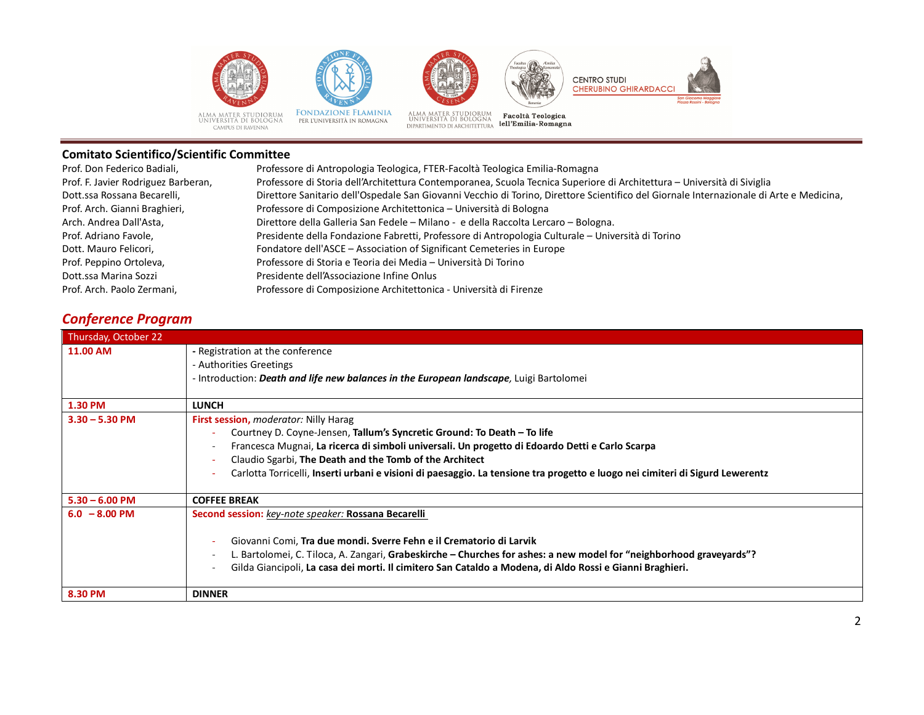







ALMA MATER STUDIORUM<br>UNIVERSITÀ DI BOLOGNA<br>CAMPUS DI RAVENNA

FONDAZIONE FLAMINIA<br>per l'università in romagna

ALMA MATER STUDIORUM<br>UNIVERSITÀ DI BOLOGNA **Pacoltà Teologica**<br>DIPARTIMENTO DI ARCHITETTURA **lell'Emilia-Romagna** 



| Prof. Don Federico Badiali,         | Professore di Antropologia Teologica, FTER-Facoltà Teologica Emilia-Romagna                                                             |
|-------------------------------------|-----------------------------------------------------------------------------------------------------------------------------------------|
| Prof. F. Javier Rodriguez Barberan, | Professore di Storia dell'Architettura Contemporanea, Scuola Tecnica Superiore di Architettura - Università di Siviglia                 |
| Dott.ssa Rossana Becarelli,         | Direttore Sanitario dell'Ospedale San Giovanni Vecchio di Torino, Direttore Scientifico del Giornale Internazionale di Arte e Medicina, |
| Prof. Arch. Gianni Braghieri,       | Professore di Composizione Architettonica - Università di Bologna                                                                       |
| Arch. Andrea Dall'Asta,             | Direttore della Galleria San Fedele - Milano - e della Raccolta Lercaro - Bologna.                                                      |
| Prof. Adriano Favole,               | Presidente della Fondazione Fabretti, Professore di Antropologia Culturale - Università di Torino                                       |
| Dott. Mauro Felicori,               | Fondatore dell'ASCE - Association of Significant Cemeteries in Europe                                                                   |
| Prof. Peppino Ortoleva,             | Professore di Storia e Teoria dei Media – Università Di Torino                                                                          |
| Dott.ssa Marina Sozzi               | Presidente dell'Associazione Infine Onlus                                                                                               |
| Prof. Arch. Paolo Zermani.          | Professore di Composizione Architettonica - Università di Firenze                                                                       |
|                                     |                                                                                                                                         |

# *Conference Program*

| Thursday, October 22 |                                                                                                                                                                                                                                                                                                                                                                                                                 |  |
|----------------------|-----------------------------------------------------------------------------------------------------------------------------------------------------------------------------------------------------------------------------------------------------------------------------------------------------------------------------------------------------------------------------------------------------------------|--|
| <b>11.00 AM</b>      | - Registration at the conference<br>- Authorities Greetings<br>- Introduction: <i>Death and life new balances in the European landscape</i> , Luigi Bartolomei                                                                                                                                                                                                                                                  |  |
| 1.30 PM              | <b>LUNCH</b>                                                                                                                                                                                                                                                                                                                                                                                                    |  |
| $3.30 - 5.30$ PM     | First session, moderator: Nilly Harag<br>Courtney D. Coyne-Jensen, Tallum's Syncretic Ground: To Death - To life<br>Francesca Mugnai, La ricerca di simboli universali. Un progetto di Edoardo Detti e Carlo Scarpa<br>Claudio Sgarbi, The Death and the Tomb of the Architect<br>Carlotta Torricelli, Inserti urbani e visioni di paesaggio. La tensione tra progetto e luogo nei cimiteri di Sigurd Lewerentz |  |
| $5.30 - 6.00$ PM     | <b>COFFEE BREAK</b>                                                                                                                                                                                                                                                                                                                                                                                             |  |
| $6.0 - 8.00$ PM      | Second session: key-note speaker: Rossana Becarelli<br>Giovanni Comi, Tra due mondi. Sverre Fehn e il Crematorio di Larvik<br>L. Bartolomei, C. Tiloca, A. Zangari, Grabeskirche – Churches for ashes: a new model for "neighborhood graveyards"?<br>Gilda Giancipoli, La casa dei morti. Il cimitero San Cataldo a Modena, di Aldo Rossi e Gianni Braghieri.                                                   |  |
| 8.30 PM              | <b>DINNER</b>                                                                                                                                                                                                                                                                                                                                                                                                   |  |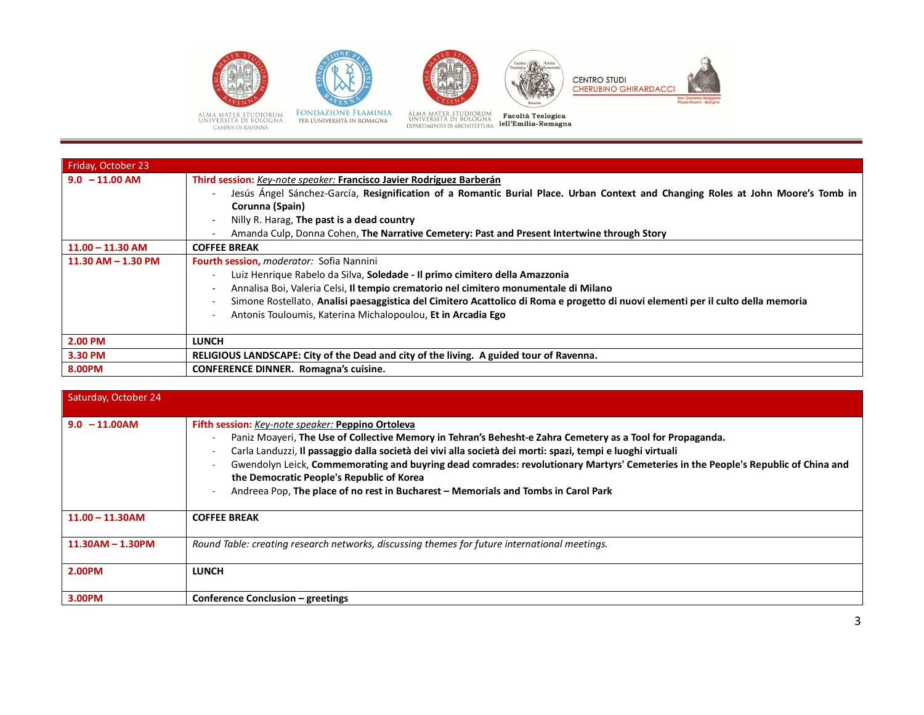









ALMA MATER STUDIORUM<br>UNIVERSITÀ DI BOLOGNA<br>CAMPUS DI RAVENNA

**FONDAZIONE FLAMINIA**<br>per l'università in romagna

ALMA MATER STUDIORUM<br>UNIVERSITÀ DI BOLOGNA **Pacoltà Teologica**<br>DIPARTIMENTO DI ARCHITETTURA **lell'Emilia-Romagna** 

| 8.00PM                 | <b>CONFERENCE DINNER.</b> Romagna's cuisine.                                                                                                                                                                                                                                                                                                                            |
|------------------------|-------------------------------------------------------------------------------------------------------------------------------------------------------------------------------------------------------------------------------------------------------------------------------------------------------------------------------------------------------------------------|
| 3.30 PM                | RELIGIOUS LANDSCAPE: City of the Dead and city of the living. A guided tour of Ravenna.                                                                                                                                                                                                                                                                                 |
| 2.00 PM                | <b>LUNCH</b>                                                                                                                                                                                                                                                                                                                                                            |
|                        | Luiz Henrique Rabelo da Silva, Soledade - Il primo cimitero della Amazzonia<br>Annalisa Boi, Valeria Celsi, Il tempio crematorio nel cimitero monumentale di Milano<br>Simone Rostellato, Analisi paesaggistica del Cimitero Acattolico di Roma e progetto di nuovi elementi per il culto della memoria<br>Antonis Touloumis, Katerina Michalopoulou, Et in Arcadia Ego |
| $11.30$ AM $- 1.30$ PM | <b>Fourth session, <i>moderator:</i></b> Sofia Nannini                                                                                                                                                                                                                                                                                                                  |
| $11.00 - 11.30$ AM     | <b>COFFEE BREAK</b>                                                                                                                                                                                                                                                                                                                                                     |
|                        | Nilly R. Harag, The past is a dead country<br>Amanda Culp, Donna Cohen, The Narrative Cemetery: Past and Present Intertwine through Story                                                                                                                                                                                                                               |
| $9.0 - 11.00$ AM       | Third session: Key-note speaker: Francisco Javier Rodríguez Barberán<br>Jesús Ángel Sánchez-García, Resignification of a Romantic Burial Place. Urban Context and Changing Roles at John Moore's Tomb in<br>Corunna (Spain)                                                                                                                                             |
| Friday, October 23     |                                                                                                                                                                                                                                                                                                                                                                         |

| Saturday, October 24 |                                                                                                                                                                                                                                                                                                                                                                                                                                                                                                                                                       |
|----------------------|-------------------------------------------------------------------------------------------------------------------------------------------------------------------------------------------------------------------------------------------------------------------------------------------------------------------------------------------------------------------------------------------------------------------------------------------------------------------------------------------------------------------------------------------------------|
| $9.0 - 11.00$ AM     | Fifth session: Key-note speaker: Peppino Ortoleva<br>Paniz Moayeri, The Use of Collective Memory in Tehran's Behesht-e Zahra Cemetery as a Tool for Propaganda.<br>Carla Landuzzi, Il passaggio dalla società dei vivi alla società dei morti: spazi, tempi e luoghi virtuali<br>Gwendolyn Leick, Commemorating and buyring dead comrades: revolutionary Martyrs' Cemeteries in the People's Republic of China and<br>the Democratic People's Republic of Korea<br>Andreea Pop, The place of no rest in Bucharest - Memorials and Tombs in Carol Park |
| $11.00 - 11.30$ AM   | <b>COFFEE BREAK</b>                                                                                                                                                                                                                                                                                                                                                                                                                                                                                                                                   |
| $11.30AM - 1.30PM$   | Round Table: creating research networks, discussing themes for future international meetings.                                                                                                                                                                                                                                                                                                                                                                                                                                                         |
| 2.00PM               | <b>LUNCH</b>                                                                                                                                                                                                                                                                                                                                                                                                                                                                                                                                          |
| 3.00PM               | Conference Conclusion – greetings                                                                                                                                                                                                                                                                                                                                                                                                                                                                                                                     |